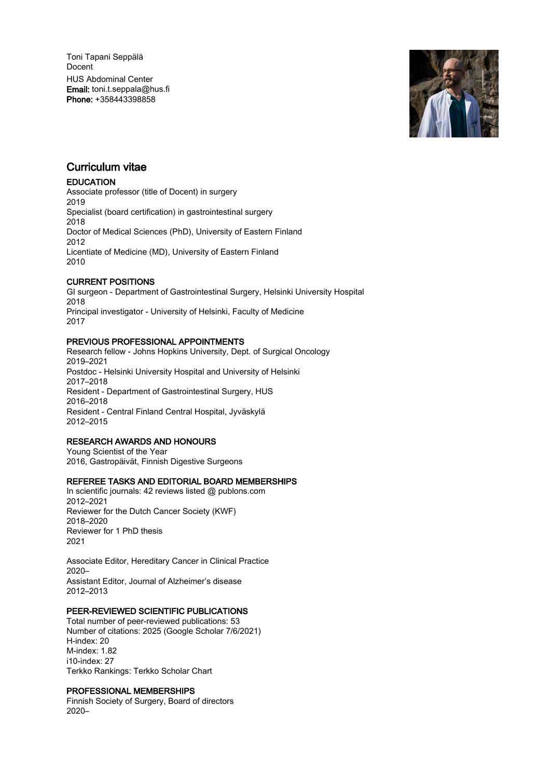Toni Tapani Seppälä Docent HUS Abdominal Center Email: toni.t.seppala@hus.fi Phone: +358443398858



## Curriculum vitae

## **EDUCATION**

Associate professor (title of Docent) in surgery 2019 Specialist (board certification) in gastrointestinal surgery 2018 Doctor of Medical Sciences (PhD), University of Eastern Finland 2012 Licentiate of Medicine (MD), University of Eastern Finland 2010

## CURRENT POSITIONS

GI surgeon - Department of Gastrointestinal Surgery, Helsinki University Hospital 2018 Principal investigator - University of Helsinki, Faculty of Medicine 2017

## PREVIOUS PROFESSIONAL APPOINTMENTS

Research fellow - Johns Hopkins University, Dept. of Surgical Oncology 2019–2021 Postdoc - Helsinki University Hospital and University of Helsinki 2017–2018 Resident - Department of Gastrointestinal Surgery, HUS 2016–2018 Resident - Central Finland Central Hospital, Jyväskylä 2012–2015

## RESEARCH AWARDS AND HONOURS

Young Scientist of the Year 2016, Gastropäivät, Finnish Digestive Surgeons

## REFEREE TASKS AND EDITORIAL BOARD MEMBERSHIPS

In scientific journals: 42 reviews listed @ publons.com 2012–2021 Reviewer for the Dutch Cancer Society (KWF) 2018–2020 Reviewer for 1 PhD thesis 2021

Associate Editor, Hereditary Cancer in Clinical Practice 2020– Assistant Editor, Journal of Alzheimer's disease 2012–2013

## PEER-REVIEWED SCIENTIFIC PUBLICATIONS

Total number of peer-reviewed publications: 53 Number of citations: 2025 (Google Scholar 7/6/2021) H-index: 20 M-index: 1.82 i10-index: 27 Terkko Rankings: Terkko Scholar Chart

## PROFESSIONAL MEMBERSHIPS

Finnish Society of Surgery, Board of directors 2020–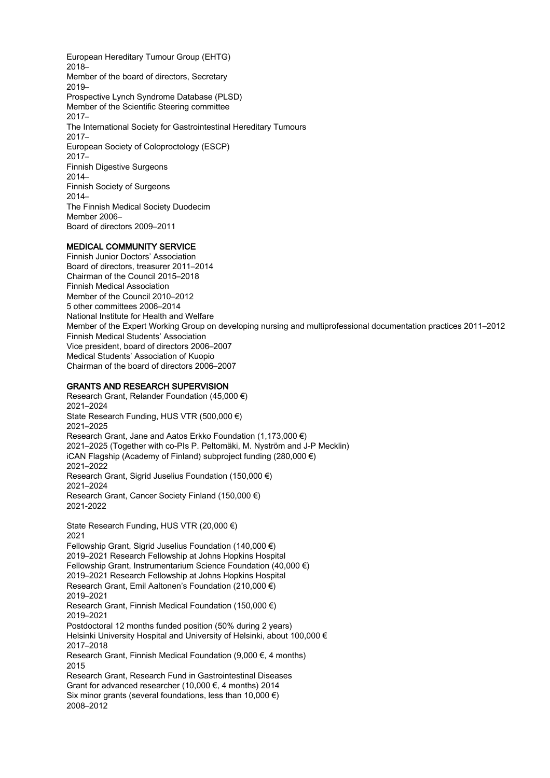European Hereditary Tumour Group (EHTG) 2018– Member of the board of directors, Secretary 2019– Prospective Lynch Syndrome Database (PLSD) Member of the Scientific Steering committee 2017– The International Society for Gastrointestinal Hereditary Tumours 2017– European Society of Coloproctology (ESCP) 2017– Finnish Digestive Surgeons 2014– Finnish Society of Surgeons 2014– The Finnish Medical Society Duodecim Member 2006– Board of directors 2009–2011

## MEDICAL COMMUNITY SERVICE

Finnish Junior Doctors' Association Board of directors, treasurer 2011–2014 Chairman of the Council 2015–2018 Finnish Medical Association Member of the Council 2010–2012 5 other committees 2006–2014 National Institute for Health and Welfare Member of the Expert Working Group on developing nursing and multiprofessional documentation practices 2011–2012 Finnish Medical Students' Association Vice president, board of directors 2006–2007 Medical Students' Association of Kuopio Chairman of the board of directors 2006–2007

## GRANTS AND RESEARCH SUPERVISION

Research Grant, Relander Foundation (45,000 €) 2021–2024 State Research Funding, HUS VTR (500,000 €) 2021–2025 Research Grant, Jane and Aatos Erkko Foundation (1,173,000 €) 2021–2025 (Together with co-PIs P. Peltomäki, M. Nyström and J-P Mecklin) iCAN Flagship (Academy of Finland) subproject funding (280,000 €) 2021–2022 Research Grant, Sigrid Juselius Foundation (150,000 €) 2021–2024 Research Grant, Cancer Society Finland (150,000 €) 2021-2022 State Research Funding, HUS VTR (20,000 €) 2021 Fellowship Grant, Sigrid Juselius Foundation (140,000 €) 2019–2021 Research Fellowship at Johns Hopkins Hospital Fellowship Grant, Instrumentarium Science Foundation (40,000 €) 2019–2021 Research Fellowship at Johns Hopkins Hospital Research Grant, Emil Aaltonen's Foundation (210,000 €) 2019–2021 Research Grant, Finnish Medical Foundation (150,000 €) 2019–2021 Postdoctoral 12 months funded position (50% during 2 years) Helsinki University Hospital and University of Helsinki, about 100,000 € 2017–2018 Research Grant, Finnish Medical Foundation (9,000 €, 4 months) 2015 Research Grant, Research Fund in Gastrointestinal Diseases Grant for advanced researcher (10,000 €, 4 months) 2014 Six minor grants (several foundations, less than 10,000  $\epsilon$ ) 2008–2012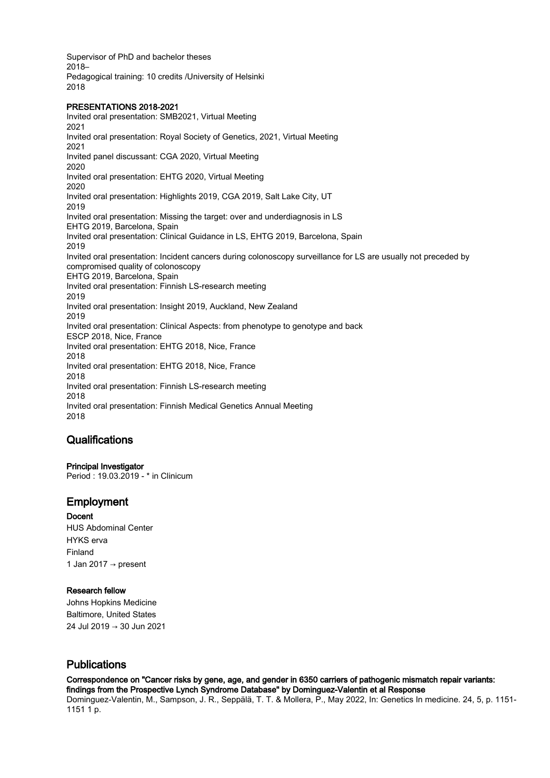Supervisor of PhD and bachelor theses 2018– Pedagogical training: 10 credits /University of Helsinki 2018

## PRESENTATIONS 2018-2021

Invited oral presentation: SMB2021, Virtual Meeting 2021 Invited oral presentation: Royal Society of Genetics, 2021, Virtual Meeting 2021 Invited panel discussant: CGA 2020, Virtual Meeting 2020 Invited oral presentation: EHTG 2020, Virtual Meeting 2020 Invited oral presentation: Highlights 2019, CGA 2019, Salt Lake City, UT 2019 Invited oral presentation: Missing the target: over and underdiagnosis in LS EHTG 2019, Barcelona, Spain Invited oral presentation: Clinical Guidance in LS, EHTG 2019, Barcelona, Spain 2019 Invited oral presentation: Incident cancers during colonoscopy surveillance for LS are usually not preceded by compromised quality of colonoscopy EHTG 2019, Barcelona, Spain Invited oral presentation: Finnish LS-research meeting 2019 Invited oral presentation: Insight 2019, Auckland, New Zealand 2019 Invited oral presentation: Clinical Aspects: from phenotype to genotype and back ESCP 2018, Nice, France Invited oral presentation: EHTG 2018, Nice, France 2018 Invited oral presentation: EHTG 2018, Nice, France 2018 Invited oral presentation: Finnish LS-research meeting 2018 Invited oral presentation: Finnish Medical Genetics Annual Meeting 2018

## **Qualifications**

Principal Investigator Period : 19.03.2019 - \* in Clinicum

## Employment

Docent HUS Abdominal Center HYKS erva Finland 1 Jan 2017  $\rightarrow$  present

## Research fellow

Johns Hopkins Medicine Baltimore, United States 24 Jul 2019 → 30 Jun 2021

# Publications

Correspondence on "Cancer risks by gene, age, and gender in 6350 carriers of pathogenic mismatch repair variants: findings from the Prospective Lynch Syndrome Database" by Dominguez-Valentin et al Response Dominguez-Valentin, M., Sampson, J. R., Seppälä, T. T. & Mollera, P., May 2022, In: Genetics In medicine. 24, 5, p. 1151- 1151 1 p.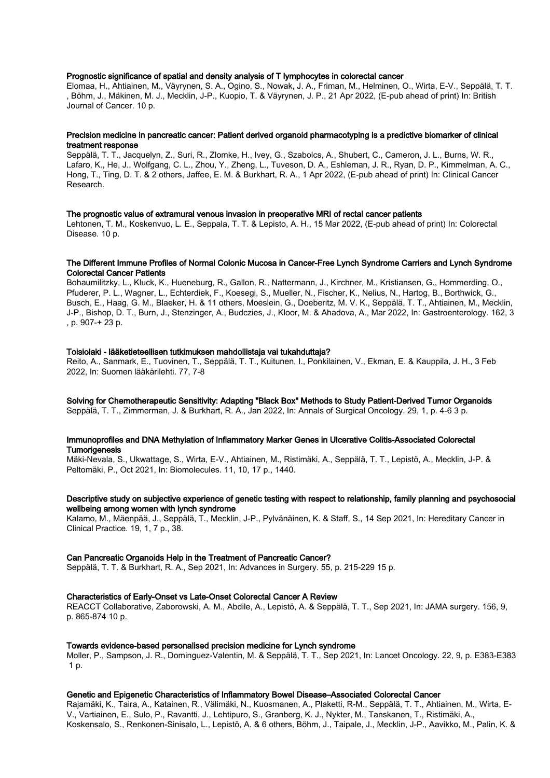#### Prognostic significance of spatial and density analysis of T lymphocytes in colorectal cancer

Elomaa, H., Ahtiainen, M., Väyrynen, S. A., Ogino, S., Nowak, J. A., Friman, M., Helminen, O., Wirta, E-V., Seppälä, T. T. , Böhm, J., Mäkinen, M. J., Mecklin, J-P., Kuopio, T. & Väyrynen, J. P., 21 Apr 2022, (E-pub ahead of print) In: British Journal of Cancer. 10 p.

#### Precision medicine in pancreatic cancer: Patient derived organoid pharmacotyping is a predictive biomarker of clinical treatment response

Seppälä, T. T., Jacquelyn, Z., Suri, R., Zlomke, H., Ivey, G., Szabolcs, A., Shubert, C., Cameron, J. L., Burns, W. R., Lafaro, K., He, J., Wolfgang, C. L., Zhou, Y., Zheng, L., Tuveson, D. A., Eshleman, J. R., Ryan, D. P., Kimmelman, A. C., Hong, T., Ting, D. T. & 2 others, Jaffee, E. M. & Burkhart, R. A., 1 Apr 2022, (E-pub ahead of print) In: Clinical Cancer Research.

#### The prognostic value of extramural venous invasion in preoperative MRI of rectal cancer patients

Lehtonen, T. M., Koskenvuo, L. E., Seppala, T. T. & Lepisto, A. H., 15 Mar 2022, (E-pub ahead of print) In: Colorectal Disease. 10 p.

#### The Different Immune Profiles of Normal Colonic Mucosa in Cancer-Free Lynch Syndrome Carriers and Lynch Syndrome Colorectal Cancer Patients

Bohaumilitzky, L., Kluck, K., Hueneburg, R., Gallon, R., Nattermann, J., Kirchner, M., Kristiansen, G., Hommerding, O., Pfuderer, P. L., Wagner, L., Echterdiek, F., Koesegi, S., Mueller, N., Fischer, K., Nelius, N., Hartog, B., Borthwick, G., Busch, E., Haag, G. M., Blaeker, H. & 11 others, Moeslein, G., Doeberitz, M. V. K., Seppälä, T. T., Ahtiainen, M., Mecklin, J-P., Bishop, D. T., Burn, J., Stenzinger, A., Budczies, J., Kloor, M. & Ahadova, A., Mar 2022, In: Gastroenterology. 162, 3 , p. 907-+ 23 p.

#### Toisiolaki - lääketieteellisen tutkimuksen mahdollistaja vai tukahduttaja?

Reito, A., Sanmark, E., Tuovinen, T., Seppälä, T. T., Kuitunen, I., Ponkilainen, V., Ekman, E. & Kauppila, J. H., 3 Feb 2022, In: Suomen lääkärilehti. 77, 7-8

#### Solving for Chemotherapeutic Sensitivity: Adapting "Black Box" Methods to Study Patient-Derived Tumor Organoids Seppälä, T. T., Zimmerman, J. & Burkhart, R. A., Jan 2022, In: Annals of Surgical Oncology. 29, 1, p. 4-6 3 p.

#### Immunoprofiles and DNA Methylation of Inflammatory Marker Genes in Ulcerative Colitis-Associated Colorectal **Tumorigenesis**

Mäki-Nevala, S., Ukwattage, S., Wirta, E-V., Ahtiainen, M., Ristimäki, A., Seppälä, T. T., Lepistö, A., Mecklin, J-P. & Peltomäki, P., Oct 2021, In: Biomolecules. 11, 10, 17 p., 1440.

#### Descriptive study on subjective experience of genetic testing with respect to relationship, family planning and psychosocial wellbeing among women with lynch syndrome

Kalamo, M., Mäenpää, J., Seppälä, T., Mecklin, J-P., Pylvänäinen, K. & Staff, S., 14 Sep 2021, In: Hereditary Cancer in Clinical Practice. 19, 1, 7 p., 38.

#### Can Pancreatic Organoids Help in the Treatment of Pancreatic Cancer?

Seppälä, T. T. & Burkhart, R. A., Sep 2021, In: Advances in Surgery. 55, p. 215-229 15 p.

#### Characteristics of Early-Onset vs Late-Onset Colorectal Cancer A Review

REACCT Collaborative, Zaborowski, A. M., Abdile, A., Lepistö, A. & Seppälä, T. T., Sep 2021, In: JAMA surgery. 156, 9, p. 865-874 10 p.

#### Towards evidence-based personalised precision medicine for Lynch syndrome

Moller, P., Sampson, J. R., Dominguez-Valentin, M. & Seppälä, T. T., Sep 2021, In: Lancet Oncology. 22, 9, p. E383-E383 1 p.

#### Genetic and Epigenetic Characteristics of Inflammatory Bowel Disease–Associated Colorectal Cancer

Rajamäki, K., Taira, A., Katainen, R., Välimäki, N., Kuosmanen, A., Plaketti, R-M., Seppälä, T. T., Ahtiainen, M., Wirta, E-V., Vartiainen, E., Sulo, P., Ravantti, J., Lehtipuro, S., Granberg, K. J., Nykter, M., Tanskanen, T., Ristimäki, A., Koskensalo, S., Renkonen-Sinisalo, L., Lepistö, A. & 6 others, Böhm, J., Taipale, J., Mecklin, J-P., Aavikko, M., Palin, K. &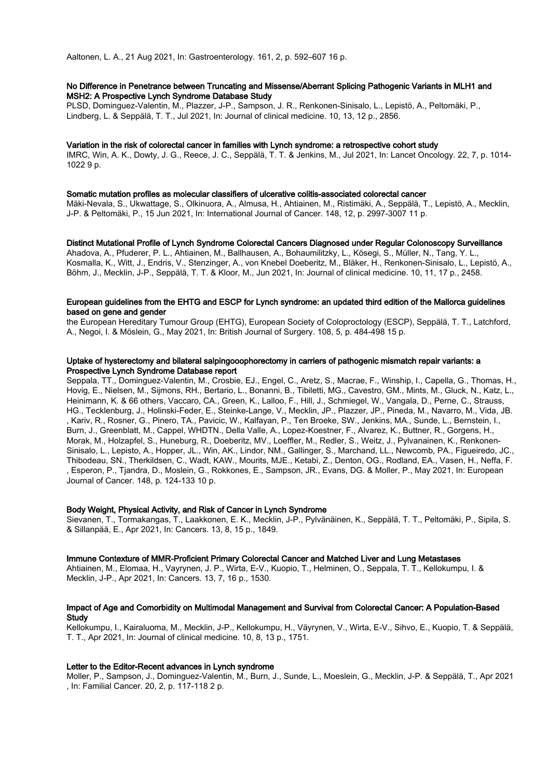#### No Difference in Penetrance between Truncating and Missense/Aberrant Splicing Pathogenic Variants in MLH1 and MSH2: A Prospective Lynch Syndrome Database Study

PLSD, Dominguez-Valentin, M., Plazzer, J-P., Sampson, J. R., Renkonen-Sinisalo, L., Lepistö, A., Peltomäki, P., Lindberg, L. & Seppälä, T. T., Jul 2021, In: Journal of clinical medicine. 10, 13, 12 p., 2856.

#### Variation in the risk of colorectal cancer in families with Lynch syndrome: a retrospective cohort study

IMRC, Win, A. K., Dowty, J. G., Reece, J. C., Seppälä, T. T. & Jenkins, M., Jul 2021, In: Lancet Oncology. 22, 7, p. 1014- 1022 9 p.

#### Somatic mutation profiles as molecular classifiers of ulcerative colitis-associated colorectal cancer

Mäki-Nevala, S., Ukwattage, S., Olkinuora, A., Almusa, H., Ahtiainen, M., Ristimäki, A., Seppälä, T., Lepistö, A., Mecklin, J-P. & Peltomäki, P., 15 Jun 2021, In: International Journal of Cancer. 148, 12, p. 2997-3007 11 p.

Distinct Mutational Profile of Lynch Syndrome Colorectal Cancers Diagnosed under Regular Colonoscopy Surveillance Ahadova, A., Pfuderer, P. L., Ahtiainen, M., Ballhausen, A., Bohaumilitzky, L., Kösegi, S., Müller, N., Tang, Y. L., Kosmalla, K., Witt, J., Endris, V., Stenzinger, A., von Knebel Doeberitz, M., Bläker, H., Renkonen-Sinisalo, L., Lepistö, A., Böhm, J., Mecklin, J-P., Seppälä, T. T. & Kloor, M., Jun 2021, In: Journal of clinical medicine. 10, 11, 17 p., 2458.

#### European guidelines from the EHTG and ESCP for Lynch syndrome: an updated third edition of the Mallorca guidelines based on gene and gender

the European Hereditary Tumour Group (EHTG), European Society of Coloproctology (ESCP), Seppälä, T. T., Latchford, A., Negoi, I. & Möslein, G., May 2021, In: British Journal of Surgery. 108, 5, p. 484-498 15 p.

#### Uptake of hysterectomy and bilateral salpingooophorectomy in carriers of pathogenic mismatch repair variants: a Prospective Lynch Syndrome Database report

Seppala, TT., Dominguez-Valentin, M., Crosbie, EJ., Engel, C., Aretz, S., Macrae, F., Winship, I., Capella, G., Thomas, H., Hovig, E., Nielsen, M., Sijmons, RH., Bertario, L., Bonanni, B., Tibiletti, MG., Cavestro, GM., Mints, M., Gluck, N., Katz, L., Heinimann, K. & 66 others, Vaccaro, CA., Green, K., Lalloo, F., Hill, J., Schmiegel, W., Vangala, D., Perne, C., Strauss, HG., Tecklenburg, J., Holinski-Feder, E., Steinke-Lange, V., Mecklin, JP., Plazzer, JP., Pineda, M., Navarro, M., Vida, JB. , Kariv, R., Rosner, G., Pinero, TA., Pavicic, W., Kalfayan, P., Ten Broeke, SW., Jenkins, MA., Sunde, L., Bernstein, I., Burn, J., Greenblatt, M., Cappel, WHDTN., Della Valle, A., Lopez-Koestner, F., Alvarez, K., Buttner, R., Gorgens, H., Morak, M., Holzapfel, S., Huneburg, R., Doeberitz, MV., Loeffler, M., Redler, S., Weitz, J., Pylvanainen, K., Renkonen-Sinisalo, L., Lepisto, A., Hopper, JL., Win, AK., Lindor, NM., Gallinger, S., Marchand, LL., Newcomb, PA., Figueiredo, JC., Thibodeau, SN., Therkildsen, C., Wadt, KAW., Mourits, MJE., Ketabi, Z., Denton, OG., Rodland, EA., Vasen, H., Neffa, F. , Esperon, P., Tjandra, D., Moslein, G., Rokkones, E., Sampson, JR., Evans, DG. & Moller, P., May 2021, In: European Journal of Cancer. 148, p. 124-133 10 p.

#### Body Weight, Physical Activity, and Risk of Cancer in Lynch Syndrome

Sievanen, T., Tormakangas, T., Laakkonen, E. K., Mecklin, J-P., Pylvänäinen, K., Seppälä, T. T., Peltomäki, P., Sipila, S. & Sillanpää, E., Apr 2021, In: Cancers. 13, 8, 15 p., 1849.

#### Immune Contexture of MMR-Proficient Primary Colorectal Cancer and Matched Liver and Lung Metastases

Ahtiainen, M., Elomaa, H., Vayrynen, J. P., Wirta, E-V., Kuopio, T., Helminen, O., Seppala, T. T., Kellokumpu, I. & Mecklin, J-P., Apr 2021, In: Cancers. 13, 7, 16 p., 1530.

#### Impact of Age and Comorbidity on Multimodal Management and Survival from Colorectal Cancer: A Population-Based **Study**

Kellokumpu, I., Kairaluoma, M., Mecklin, J-P., Kellokumpu, H., Väyrynen, V., Wirta, E-V., Sihvo, E., Kuopio, T. & Seppälä, T. T., Apr 2021, In: Journal of clinical medicine. 10, 8, 13 p., 1751.

#### Letter to the Editor-Recent advances in Lynch syndrome

Moller, P., Sampson, J., Dominguez-Valentin, M., Burn, J., Sunde, L., Moeslein, G., Mecklin, J-P. & Seppälä, T., Apr 2021 , In: Familial Cancer. 20, 2, p. 117-118 2 p.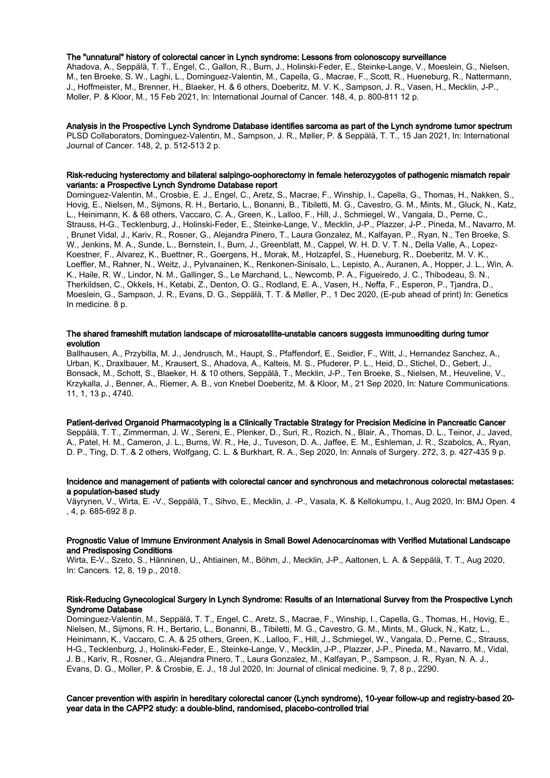#### The "unnatural" history of colorectal cancer in Lynch syndrome: Lessons from colonoscopy surveillance

Ahadova, A., Seppälä, T. T., Engel, C., Gallon, R., Burn, J., Holinski-Feder, E., Steinke-Lange, V., Moeslein, G., Nielsen, M., ten Broeke, S. W., Laghi, L., Dominguez-Valentin, M., Capella, G., Macrae, F., Scott, R., Hueneburg, R., Nattermann, J., Hoffmeister, M., Brenner, H., Blaeker, H. & 6 others, Doeberitz, M. V. K., Sampson, J. R., Vasen, H., Mecklin, J-P., Moller, P. & Kloor, M., 15 Feb 2021, In: International Journal of Cancer. 148, 4, p. 800-811 12 p.

#### Analysis in the Prospective Lynch Syndrome Database identifies sarcoma as part of the Lynch syndrome tumor spectrum PLSD Collaborators, Dominguez-Valentin, M., Sampson, J. R., Møller, P. & Seppälä, T. T., 15 Jan 2021, In: International Journal of Cancer. 148, 2, p. 512-513 2 p.

#### Risk-reducing hysterectomy and bilateral salpingo-oophorectomy in female heterozygotes of pathogenic mismatch repair variants: a Prospective Lynch Syndrome Database report

Dominguez-Valentin, M., Crosbie, E. J., Engel, C., Aretz, S., Macrae, F., Winship, I., Capella, G., Thomas, H., Nakken, S., Hovig, E., Nielsen, M., Sijmons, R. H., Bertario, L., Bonanni, B., Tibiletti, M. G., Cavestro, G. M., Mints, M., Gluck, N., Katz, L., Heinimann, K. & 68 others, Vaccaro, C. A., Green, K., Lalloo, F., Hill, J., Schmiegel, W., Vangala, D., Perne, C., Strauss, H-G., Tecklenburg, J., Holinski-Feder, E., Steinke-Lange, V., Mecklin, J-P., Plazzer, J-P., Pineda, M., Navarro, M. , Brunet Vidal, J., Kariv, R., Rosner, G., Alejandra Pinero, T., Laura Gonzalez, M., Kalfayan, P., Ryan, N., Ten Broeke, S. W., Jenkins, M. A., Sunde, L., Bernstein, I., Burn, J., Greenblatt, M., Cappel, W. H. D. V. T. N., Della Valle, A., Lopez-Koestner, F., Alvarez, K., Buettner, R., Goergens, H., Morak, M., Holzapfel, S., Hueneburg, R., Doeberitz, M. V. K., Loeffler, M., Rahner, N., Weitz, J., Pylvanainen, K., Renkonen-Sinisalo, L., Lepisto, A., Auranen, A., Hopper, J. L., Win, A. K., Haile, R. W., Lindor, N. M., Gallinger, S., Le Marchand, L., Newcomb, P. A., Figueiredo, J. C., Thibodeau, S. N., Therkildsen, C., Okkels, H., Ketabi, Z., Denton, O. G., Rodland, E. A., Vasen, H., Neffa, F., Esperon, P., Tjandra, D., Moeslein, G., Sampson, J. R., Evans, D. G., Seppälä, T. T. & Møller, P., 1 Dec 2020, (E-pub ahead of print) In: Genetics In medicine. 8 p.

#### The shared frameshift mutation landscape of microsatellite-unstable cancers suggests immunoediting during tumor evolution

Ballhausen, A., Przybilla, M. J., Jendrusch, M., Haupt, S., Pfaffendorf, E., Seidler, F., Witt, J., Hernandez Sanchez, A., Urban, K., Draxlbauer, M., Krausert, S., Ahadova, A., Kalteis, M. S., Pfuderer, P. L., Heid, D., Stichel, D., Gebert, J., Bonsack, M., Schott, S., Blaeker, H. & 10 others, Seppälä, T., Mecklin, J-P., Ten Broeke, S., Nielsen, M., Heuveline, V., Krzykalla, J., Benner, A., Riemer, A. B., von Knebel Doeberitz, M. & Kloor, M., 21 Sep 2020, In: Nature Communications. 11, 1, 13 p., 4740.

Patient-derived Organoid Pharmacotyping is a Clinically Tractable Strategy for Precision Medicine in Pancreatic Cancer Seppälä, T. T., Zimmerman, J. W., Sereni, E., Plenker, D., Suri, R., Rozich, N., Blair, A., Thomas, D. L., Teinor, J., Javed, A., Patel, H. M., Cameron, J. L., Burns, W. R., He, J., Tuveson, D. A., Jaffee, E. M., Eshleman, J. R., Szabolcs, A., Ryan, D. P., Ting, D. T. & 2 others, Wolfgang, C. L. & Burkhart, R. A., Sep 2020, In: Annals of Surgery. 272, 3, p. 427-435 9 p.

#### Incidence and management of patients with colorectal cancer and synchronous and metachronous colorectal metastases: a population-based study

Väyrynen, V., Wirta, E. -V., Seppälä, T., Sihvo, E., Mecklin, J. -P., Vasala, K. & Kellokumpu, I., Aug 2020, In: BMJ Open. 4 , 4, p. 685-692 8 p.

#### Prognostic Value of Immune Environment Analysis in Small Bowel Adenocarcinomas with Verified Mutational Landscape and Predisposing Conditions

Wirta, E-V., Szeto, S., Hänninen, U., Ahtiainen, M., Böhm, J., Mecklin, J-P., Aaltonen, L. A. & Seppälä, T. T., Aug 2020, In: Cancers. 12, 8, 19 p., 2018.

#### Risk-Reducing Gynecological Surgery in Lynch Syndrome: Results of an International Survey from the Prospective Lynch Syndrome Database

Dominguez-Valentin, M., Seppälä, T. T., Engel, C., Aretz, S., Macrae, F., Winship, I., Capella, G., Thomas, H., Hovig, E., Nielsen, M., Sijmons, R. H., Bertario, L., Bonanni, B., Tibiletti, M. G., Cavestro, G. M., Mints, M., Gluck, N., Katz, L., Heinimann, K., Vaccaro, C. A. & 25 others, Green, K., Lalloo, F., Hill, J., Schmiegel, W., Vangala, D., Perne, C., Strauss, H-G., Tecklenburg, J., Holinski-Feder, E., Steinke-Lange, V., Mecklin, J-P., Plazzer, J-P., Pineda, M., Navarro, M., Vidal, J. B., Kariv, R., Rosner, G., Alejandra Pinero, T., Laura Gonzalez, M., Kalfayan, P., Sampson, J. R., Ryan, N. A. J., Evans, D. G., Moller, P. & Crosbie, E. J., 18 Jul 2020, In: Journal of clinical medicine. 9, 7, 8 p., 2290.

#### Cancer prevention with aspirin in hereditary colorectal cancer (Lynch syndrome), 10-year follow-up and registry-based 20 year data in the CAPP2 study: a double-blind, randomised, placebo-controlled trial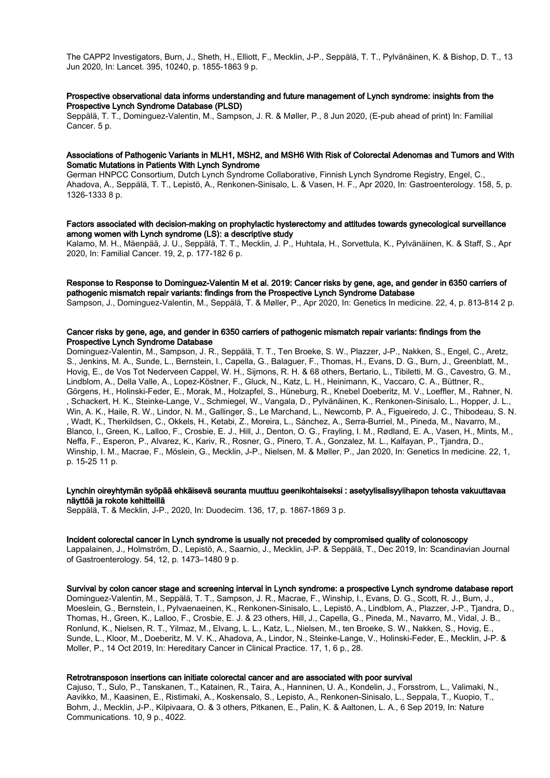The CAPP2 Investigators, Burn, J., Sheth, H., Elliott, F., Mecklin, J-P., Seppälä, T. T., Pylvänäinen, K. & Bishop, D. T., 13 Jun 2020, In: Lancet. 395, 10240, p. 1855-1863 9 p.

#### Prospective observational data informs understanding and future management of Lynch syndrome: insights from the Prospective Lynch Syndrome Database (PLSD)

Seppälä, T. T., Dominguez-Valentin, M., Sampson, J. R. & Møller, P., 8 Jun 2020, (E-pub ahead of print) In: Familial Cancer. 5 p.

#### Associations of Pathogenic Variants in MLH1, MSH2, and MSH6 With Risk of Colorectal Adenomas and Tumors and With Somatic Mutations in Patients With Lynch Syndrome

German HNPCC Consortium, Dutch Lynch Syndrome Collaborative, Finnish Lynch Syndrome Registry, Engel, C., Ahadova, A., Seppälä, T. T., Lepistö, A., Renkonen-Sinisalo, L. & Vasen, H. F., Apr 2020, In: Gastroenterology. 158, 5, p. 1326-1333 8 p.

#### Factors associated with decision-making on prophylactic hysterectomy and attitudes towards gynecological surveillance among women with Lynch syndrome (LS): a descriptive study

Kalamo, M. H., Mäenpää, J. U., Seppälä, T. T., Mecklin, J. P., Huhtala, H., Sorvettula, K., Pylvänäinen, K. & Staff, S., Apr 2020, In: Familial Cancer. 19, 2, p. 177-182 6 p.

#### Response to Response to Dominguez-Valentin M et al. 2019: Cancer risks by gene, age, and gender in 6350 carriers of pathogenic mismatch repair variants: findings from the Prospective Lynch Syndrome Database

Sampson, J., Dominguez-Valentin, M., Seppälä, T. & Møller, P., Apr 2020, In: Genetics In medicine. 22, 4, p. 813-814 2 p.

#### Cancer risks by gene, age, and gender in 6350 carriers of pathogenic mismatch repair variants: findings from the Prospective Lynch Syndrome Database

Dominguez-Valentin, M., Sampson, J. R., Seppälä, T. T., Ten Broeke, S. W., Plazzer, J-P., Nakken, S., Engel, C., Aretz, S., Jenkins, M. A., Sunde, L., Bernstein, I., Capella, G., Balaguer, F., Thomas, H., Evans, D. G., Burn, J., Greenblatt, M., Hovig, E., de Vos Tot Nederveen Cappel, W. H., Sijmons, R. H. & 68 others, Bertario, L., Tibiletti, M. G., Cavestro, G. M., Lindblom, A., Della Valle, A., Lopez-Köstner, F., Gluck, N., Katz, L. H., Heinimann, K., Vaccaro, C. A., Büttner, R., Görgens, H., Holinski-Feder, E., Morak, M., Holzapfel, S., Hüneburg, R., Knebel Doeberitz, M. V., Loeffler, M., Rahner, N. , Schackert, H. K., Steinke-Lange, V., Schmiegel, W., Vangala, D., Pylvänäinen, K., Renkonen-Sinisalo, L., Hopper, J. L., Win, A. K., Haile, R. W., Lindor, N. M., Gallinger, S., Le Marchand, L., Newcomb, P. A., Figueiredo, J. C., Thibodeau, S. N. , Wadt, K., Therkildsen, C., Okkels, H., Ketabi, Z., Moreira, L., Sánchez, A., Serra-Burriel, M., Pineda, M., Navarro, M., Blanco, I., Green, K., Lalloo, F., Crosbie, E. J., Hill, J., Denton, O. G., Frayling, I. M., Rødland, E. A., Vasen, H., Mints, M., Neffa, F., Esperon, P., Alvarez, K., Kariv, R., Rosner, G., Pinero, T. A., Gonzalez, M. L., Kalfayan, P., Tjandra, D., Winship, I. M., Macrae, F., Möslein, G., Mecklin, J-P., Nielsen, M. & Møller, P., Jan 2020, In: Genetics In medicine. 22, 1, p. 15-25 11 p.

#### Lynchin oireyhtymän syöpää ehkäisevä seuranta muuttuu geenikohtaiseksi : asetyylisalisyylihapon tehosta vakuuttavaa näyttöä ja rokote kehitteillä

Seppälä, T. & Mecklin, J-P., 2020, In: Duodecim. 136, 17, p. 1867-1869 3 p.

#### Incident colorectal cancer in Lynch syndrome is usually not preceded by compromised quality of colonoscopy

Lappalainen, J., Holmström, D., Lepistö, A., Saarnio, J., Mecklin, J-P. & Seppälä, T., Dec 2019, In: Scandinavian Journal of Gastroenterology. 54, 12, p. 1473–1480 9 p.

#### Survival by colon cancer stage and screening interval in Lynch syndrome: a prospective Lynch syndrome database report Dominguez-Valentin, M., Seppälä, T. T., Sampson, J. R., Macrae, F., Winship, I., Evans, D. G., Scott, R. J., Burn, J., Moeslein, G., Bernstein, I., Pylvaenaeinen, K., Renkonen-Sinisalo, L., Lepistö, A., Lindblom, A., Plazzer, J-P., Tjandra, D., Thomas, H., Green, K., Lalloo, F., Crosbie, E. J. & 23 others, Hill, J., Capella, G., Pineda, M., Navarro, M., Vidal, J. B., Ronlund, K., Nielsen, R. T., Yilmaz, M., Elvang, L. L., Katz, L., Nielsen, M., ten Broeke, S. W., Nakken, S., Hovig, E.,

Sunde, L., Kloor, M., Doeberitz, M. V. K., Ahadova, A., Lindor, N., Steinke-Lange, V., Holinski-Feder, E., Mecklin, J-P. & Moller, P., 14 Oct 2019, In: Hereditary Cancer in Clinical Practice. 17, 1, 6 p., 28.

#### Retrotransposon insertions can initiate colorectal cancer and are associated with poor survival

Cajuso, T., Sulo, P., Tanskanen, T., Katainen, R., Taira, A., Hanninen, U. A., Kondelin, J., Forsstrom, L., Valimaki, N., Aavikko, M., Kaasinen, E., Ristimaki, A., Koskensalo, S., Lepisto, A., Renkonen-Sinisalo, L., Seppala, T., Kuopio, T., Bohm, J., Mecklin, J-P., Kilpivaara, O. & 3 others, Pitkanen, E., Palin, K. & Aaltonen, L. A., 6 Sep 2019, In: Nature Communications. 10, 9 p., 4022.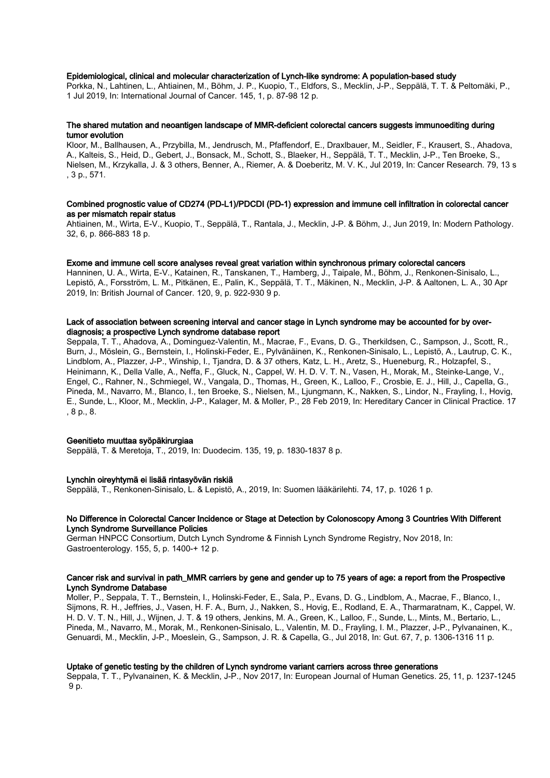#### Epidemiological, clinical and molecular characterization of Lynch-like syndrome: A population-based study

Porkka, N., Lahtinen, L., Ahtiainen, M., Böhm, J. P., Kuopio, T., Eldfors, S., Mecklin, J-P., Seppälä, T. T. & Peltomäki, P., 1 Jul 2019, In: International Journal of Cancer. 145, 1, p. 87-98 12 p.

#### The shared mutation and neoantigen landscape of MMR-deficient colorectal cancers suggests immunoediting during tumor evolution

Kloor, M., Ballhausen, A., Przybilla, M., Jendrusch, M., Pfaffendorf, E., Draxlbauer, M., Seidler, F., Krausert, S., Ahadova, A., Kalteis, S., Heid, D., Gebert, J., Bonsack, M., Schott, S., Blaeker, H., Seppälä, T. T., Mecklin, J-P., Ten Broeke, S., Nielsen, M., Krzykalla, J. & 3 others, Benner, A., Riemer, A. & Doeberitz, M. V. K., Jul 2019, In: Cancer Research. 79, 13 s , 3 p., 571.

#### Combined prognostic value of CD274 (PD-L1)/PDCDI (PD-1) expression and immune cell infiltration in colorectal cancer as per mismatch repair status

Ahtiainen, M., Wirta, E-V., Kuopio, T., Seppälä, T., Rantala, J., Mecklin, J-P. & Böhm, J., Jun 2019, In: Modern Pathology. 32, 6, p. 866-883 18 p.

#### Exome and immune cell score analyses reveal great variation within synchronous primary colorectal cancers

Hanninen, U. A., Wirta, E-V., Katainen, R., Tanskanen, T., Hamberg, J., Taipale, M., Böhm, J., Renkonen-Sinisalo, L., Lepistö, A., Forsström, L. M., Pitkänen, E., Palin, K., Seppälä, T. T., Mäkinen, N., Mecklin, J-P. & Aaltonen, L. A., 30 Apr 2019, In: British Journal of Cancer. 120, 9, p. 922-930 9 p.

### Lack of association between screening interval and cancer stage in Lynch syndrome may be accounted for by overdiagnosis; a prospective Lynch syndrome database report

Seppala, T. T., Ahadova, A., Dominguez-Valentin, M., Macrae, F., Evans, D. G., Therkildsen, C., Sampson, J., Scott, R., Burn, J., Möslein, G., Bernstein, I., Holinski-Feder, E., Pylvänäinen, K., Renkonen-Sinisalo, L., Lepistö, A., Lautrup, C. K., Lindblom, A., Plazzer, J-P., Winship, I., Tjandra, D. & 37 others, Katz, L. H., Aretz, S., Hueneburg, R., Holzapfel, S., Heinimann, K., Della Valle, A., Neffa, F., Gluck, N., Cappel, W. H. D. V. T. N., Vasen, H., Morak, M., Steinke-Lange, V., Engel, C., Rahner, N., Schmiegel, W., Vangala, D., Thomas, H., Green, K., Lalloo, F., Crosbie, E. J., Hill, J., Capella, G., Pineda, M., Navarro, M., Blanco, I., ten Broeke, S., Nielsen, M., Ljungmann, K., Nakken, S., Lindor, N., Frayling, I., Hovig, E., Sunde, L., Kloor, M., Mecklin, J-P., Kalager, M. & Moller, P., 28 Feb 2019, In: Hereditary Cancer in Clinical Practice. 17 , 8 p., 8.

#### Geenitieto muuttaa syöpäkirurgiaa

Seppälä, T. & Meretoja, T., 2019, In: Duodecim. 135, 19, p. 1830-1837 8 p.

#### Lynchin oireyhtymä ei lisää rintasyövän riskiä

Seppälä, T., Renkonen-Sinisalo, L. & Lepistö, A., 2019, In: Suomen lääkärilehti. 74, 17, p. 1026 1 p.

#### No Difference in Colorectal Cancer Incidence or Stage at Detection by Colonoscopy Among 3 Countries With Different Lynch Syndrome Surveillance Policies

German HNPCC Consortium, Dutch Lynch Syndrome & Finnish Lynch Syndrome Registry, Nov 2018, In: Gastroenterology. 155, 5, p. 1400-+ 12 p.

#### Cancer risk and survival in path\_MMR carriers by gene and gender up to 75 years of age: a report from the Prospective Lynch Syndrome Database

Moller, P., Seppala, T. T., Bernstein, I., Holinski-Feder, E., Sala, P., Evans, D. G., Lindblom, A., Macrae, F., Blanco, I., Sijmons, R. H., Jeffries, J., Vasen, H. F. A., Burn, J., Nakken, S., Hovig, E., Rodland, E. A., Tharmaratnam, K., Cappel, W. H. D. V. T. N., Hill, J., Wijnen, J. T. & 19 others, Jenkins, M. A., Green, K., Lalloo, F., Sunde, L., Mints, M., Bertario, L., Pineda, M., Navarro, M., Morak, M., Renkonen-Sinisalo, L., Valentin, M. D., Frayling, I. M., Plazzer, J-P., Pylvanainen, K., Genuardi, M., Mecklin, J-P., Moeslein, G., Sampson, J. R. & Capella, G., Jul 2018, In: Gut. 67, 7, p. 1306-1316 11 p.

#### Uptake of genetic testing by the children of Lynch syndrome variant carriers across three generations

Seppala, T. T., Pylvanainen, K. & Mecklin, J-P., Nov 2017, In: European Journal of Human Genetics. 25, 11, p. 1237-1245 9 p.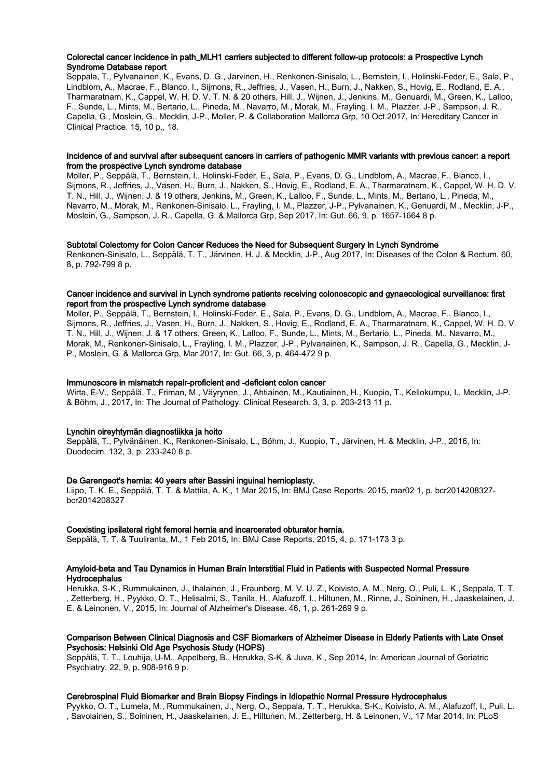#### Colorectal cancer incidence in path\_MLH1 carriers subjected to different follow-up protocols: a Prospective Lynch Syndrome Database report

Seppala, T., Pylvanainen, K., Evans, D. G., Jarvinen, H., Renkonen-Sinisalo, L., Bernstein, I., Holinski-Feder, E., Sala, P., Lindblom, A., Macrae, F., Blanco, I., Sijmons, R., Jeffries, J., Vasen, H., Burn, J., Nakken, S., Hovig, E., Rodland, E. A., Tharmaratnam, K., Cappel, W. H. D. V. T. N. & 20 others, Hill, J., Wijnen, J., Jenkins, M., Genuardi, M., Green, K., Lalloo, F., Sunde, L., Mints, M., Bertario, L., Pineda, M., Navarro, M., Morak, M., Frayling, I. M., Plazzer, J-P., Sampson, J. R., Capella, G., Moslein, G., Mecklin, J-P., Moller, P. & Collaboration Mallorca Grp, 10 Oct 2017, In: Hereditary Cancer in Clinical Practice. 15, 10 p., 18.

#### Incidence of and survival after subsequent cancers in carriers of pathogenic MMR variants with previous cancer: a report from the prospective Lynch syndrome database

Moller, P., Seppälä, T., Bernstein, I., Holinski-Feder, E., Sala, P., Evans, D. G., Lindblom, A., Macrae, F., Blanco, I., Sijmons, R., Jeffries, J., Vasen, H., Burn, J., Nakken, S., Hovig, E., Rodland, E. A., Tharmaratnam, K., Cappel, W. H. D. V. T. N., Hill, J., Wijnen, J. & 19 others, Jenkins, M., Green, K., Lalloo, F., Sunde, L., Mints, M., Bertario, L., Pineda, M., Navarro, M., Morak, M., Renkonen-Sinisalo, L., Frayling, I. M., Plazzer, J-P., Pylvanainen, K., Genuardi, M., Mecklin, J-P., Moslein, G., Sampson, J. R., Capella, G. & Mallorca Grp, Sep 2017, In: Gut. 66, 9, p. 1657-1664 8 p.

#### Subtotal Colectomy for Colon Cancer Reduces the Need for Subsequent Surgery in Lynch Syndrome

Renkonen-Sinisalo, L., Seppälä, T. T., Järvinen, H. J. & Mecklin, J-P., Aug 2017, In: Diseases of the Colon & Rectum. 60, 8, p. 792-799 8 p.

#### Cancer incidence and survival in Lynch syndrome patients receiving colonoscopic and gynaecological surveillance: first report from the prospective Lynch syndrome database

Moller, P., Seppälä, T., Bernstein, I., Holinski-Feder, E., Sala, P., Evans, D. G., Lindblom, A., Macrae, F., Blanco, I., Sijmons, R., Jeffries, J., Vasen, H., Burn, J., Nakken, S., Hovig, E., Rodland, E. A., Tharmaratnam, K., Cappel, W. H. D. V. T. N., Hill, J., Wijnen, J. & 17 others, Green, K., Lalloo, F., Sunde, L., Mints, M., Bertario, L., Pineda, M., Navarro, M., Morak, M., Renkonen-Sinisalo, L., Frayling, I. M., Plazzer, J-P., Pylvanainen, K., Sampson, J. R., Capella, G., Mecklin, J-P., Moslein, G. & Mallorca Grp, Mar 2017, In: Gut. 66, 3, p. 464-472 9 p.

#### Immunoscore in mismatch repair-proficient and -deficient colon cancer

Wirta, E-V., Seppälä, T., Friman, M., Väyrynen, J., Ahtiainen, M., Kautiainen, H., Kuopio, T., Kellokumpu, I., Mecklin, J-P. & Böhm, J., 2017, In: The Journal of Pathology. Clinical Research. 3, 3, p. 203-213 11 p.

#### Lynchin oireyhtymän diagnostiikka ja hoito

Seppälä, T., Pylvänäinen, K., Renkonen-Sinisalo, L., Böhm, J., Kuopio, T., Järvinen, H. & Mecklin, J-P., 2016, In: Duodecim. 132, 3, p. 233-240 8 p.

#### De Garengeot's hernia: 40 years after Bassini inguinal hernioplasty.

Liipo, T. K. E., Seppälä, T. T. & Mattila, A. K., 1 Mar 2015, In: BMJ Case Reports. 2015, mar02 1, p. bcr2014208327 bcr2014208327

#### Coexisting ipsilateral right femoral hernia and incarcerated obturator hernia.

Seppälä, T. T. & Tuuliranta, M., 1 Feb 2015, In: BMJ Case Reports. 2015, 4, p. 171-173 3 p.

#### Amyloid-beta and Tau Dynamics in Human Brain Interstitial Fluid in Patients with Suspected Normal Pressure **Hydrocephalus**

Herukka, S-K., Rummukainen, J., Ihalainen, J., Fraunberg, M. V. U. Z., Koivisto, A. M., Nerg, O., Puli, L. K., Seppala, T. T. , Zetterberg, H., Pyykko, O. T., Helisalmi, S., Tanila, H., Alafuzoff, I., Hiltunen, M., Rinne, J., Soininen, H., Jaaskelainen, J. E. & Leinonen, V., 2015, In: Journal of Alzheimer's Disease. 46, 1, p. 261-269 9 p.

#### Comparison Between Clinical Diagnosis and CSF Biomarkers of Alzheimer Disease in Elderly Patients with Late Onset Psychosis: Helsinki Old Age Psychosis Study (HOPS)

Seppälä, T. T., Louhija, U-M., Appelberg, B., Herukka, S-K. & Juva, K., Sep 2014, In: American Journal of Geriatric Psychiatry. 22, 9, p. 908-916 9 p.

#### Cerebrospinal Fluid Biomarker and Brain Biopsy Findings in Idiopathic Normal Pressure Hydrocephalus

Pyykko, O. T., Lumela, M., Rummukainen, J., Nerg, O., Seppala, T. T., Herukka, S-K., Koivisto, A. M., Alafuzoff, I., Puli, L. , Savolainen, S., Soininen, H., Jaaskelainen, J. E., Hiltunen, M., Zetterberg, H. & Leinonen, V., 17 Mar 2014, In: PLoS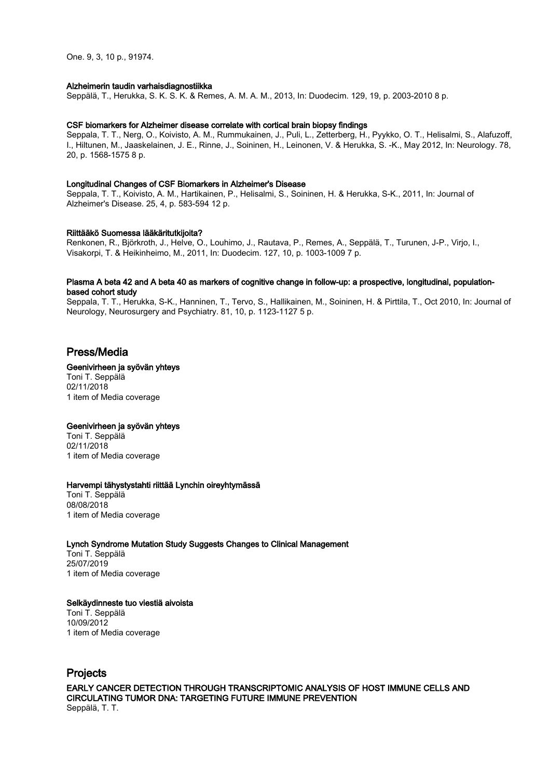One. 9, 3, 10 p., 91974.

#### Alzheimerin taudin varhaisdiagnostiikka

Seppälä, T., Herukka, S. K. S. K. & Remes, A. M. A. M., 2013, In: Duodecim. 129, 19, p. 2003-2010 8 p.

#### CSF biomarkers for Alzheimer disease correlate with cortical brain biopsy findings

Seppala, T. T., Nerg, O., Koivisto, A. M., Rummukainen, J., Puli, L., Zetterberg, H., Pyykko, O. T., Helisalmi, S., Alafuzoff, I., Hiltunen, M., Jaaskelainen, J. E., Rinne, J., Soininen, H., Leinonen, V. & Herukka, S. -K., May 2012, In: Neurology. 78, 20, p. 1568-1575 8 p.

#### Longitudinal Changes of CSF Biomarkers in Alzheimer's Disease

Seppala, T. T., Koivisto, A. M., Hartikainen, P., Helisalmi, S., Soininen, H. & Herukka, S-K., 2011, In: Journal of Alzheimer's Disease. 25, 4, p. 583-594 12 p.

#### Riittääkö Suomessa lääkäritutkijoita?

Renkonen, R., Björkroth, J., Helve, O., Louhimo, J., Rautava, P., Remes, A., Seppälä, T., Turunen, J-P., Virjo, I., Visakorpi, T. & Heikinheimo, M., 2011, In: Duodecim. 127, 10, p. 1003-1009 7 p.

#### Plasma A beta 42 and A beta 40 as markers of cognitive change in follow-up: a prospective, longitudinal, populationbased cohort study

Seppala, T. T., Herukka, S-K., Hanninen, T., Tervo, S., Hallikainen, M., Soininen, H. & Pirttila, T., Oct 2010, In: Journal of Neurology, Neurosurgery and Psychiatry. 81, 10, p. 1123-1127 5 p.

# Press/Media

#### Geenivirheen ja syövän yhteys

Toni T. Seppälä 02/11/2018 1 item of Media coverage

#### Geenivirheen ja syövän yhteys

Toni T. Seppälä 02/11/2018 1 item of Media coverage

#### Harvempi tähystystahti riittää Lynchin oireyhtymässä

Toni T. Seppälä 08/08/2018 1 item of Media coverage

#### Lynch Syndrome Mutation Study Suggests Changes to Clinical Management

Toni T. Seppälä 25/07/2019 1 item of Media coverage

#### Selkäydinneste tuo viestiä aivoista

Toni T. Seppälä 10/09/2012 1 item of Media coverage

# Projects

EARLY CANCER DETECTION THROUGH TRANSCRIPTOMIC ANALYSIS OF HOST IMMUNE CELLS AND CIRCULATING TUMOR DNA: TARGETING FUTURE IMMUNE PREVENTION Seppälä, T. T.